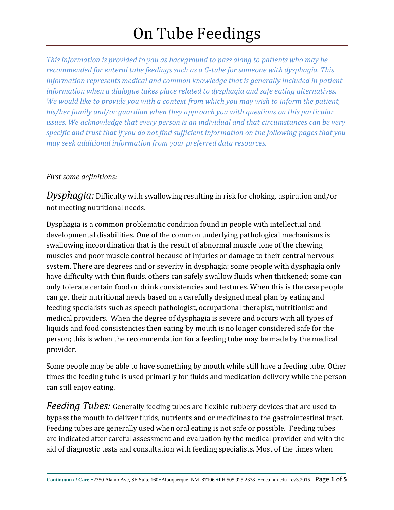*This information is provided to you as background to pass along to patients who may be recommended for enteral tube feedings such as a G-tube for someone with dysphagia. This information represents medical and common knowledge that is generally included in patient information when a dialogue takes place related to dysphagia and safe eating alternatives. We would like to provide you with a context from which you may wish to inform the patient, his/her family and/or guardian when they approach you with questions on this particular issues. We acknowledge that every person is an individual and that circumstances can be very specific and trust that if you do not find sufficient information on the following pages that you may seek additional information from your preferred data resources.*

#### *First some definitions:*

*Dysphagia:* Difficulty with swallowing resulting in risk for choking, aspiration and/or not meeting nutritional needs.

Dysphagia is a common problematic condition found in people with intellectual and developmental disabilities. One of the common underlying pathological mechanisms is swallowing incoordination that is the result of abnormal muscle tone of the chewing muscles and poor muscle control because of injuries or damage to their central nervous system. There are degrees and or severity in dysphagia: some people with dysphagia only have difficulty with thin fluids, others can safely swallow fluids when thickened; some can only tolerate certain food or drink consistencies and textures. When this is the case people can get their nutritional needs based on a carefully designed meal plan by eating and feeding specialists such as speech pathologist, occupational therapist, nutritionist and medical providers. When the degree of dysphagia is severe and occurs with all types of liquids and food consistencies then eating by mouth is no longer considered safe for the person; this is when the recommendation for a feeding tube may be made by the medical provider.

Some people may be able to have something by mouth while still have a feeding tube. Other times the feeding tube is used primarily for fluids and medication delivery while the person can still enjoy eating.

*Feeding Tubes:* Generally feeding tubes are flexible rubbery devices that are used to bypass the mouth to deliver fluids, nutrients and or medicines to the gastrointestinal tract. Feeding tubes are generally used when oral eating is not safe or possible. Feeding tubes are indicated after careful assessment and evaluation by the medical provider and with the aid of diagnostic tests and consultation with feeding specialists. Most of the times when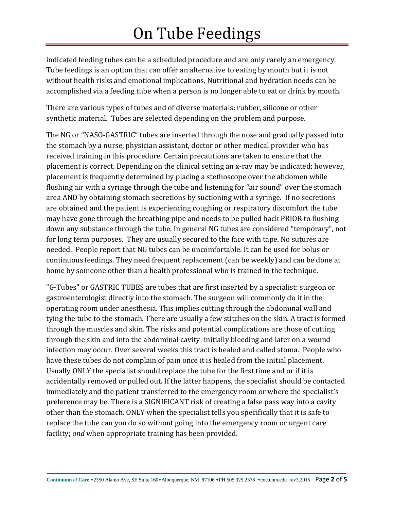indicated feeding tubes can be a scheduled procedure and are only rarely an emergency. Tube feedings is an option that can offer an alternative to eating by mouth but it is not without health risks and emotional implications. Nutritional and hydration needs can be accomplished via a feeding tube when a person is no longer able to eat or drink by mouth.

There are various types of tubes and of diverse materials: rubber, silicone or other synthetic material. Tubes are selected depending on the problem and purpose.

The NG or "NASO-GASTRIC" tubes are inserted through the nose and gradually passed into the stomach by a nurse, physician assistant, doctor or other medical provider who has received training in this procedure. Certain precautions are taken to ensure that the placement is correct. Depending on the clinical setting an x-ray may be indicated; however, placement is frequently determined by placing a stethoscope over the abdomen while flushing air with a syringe through the tube and listening for "air sound" over the stomach area AND by obtaining stomach secretions by suctioning with a syringe. If no secretions are obtained and the patient is experiencing coughing or respiratory discomfort the tube may have gone through the breathing pipe and needs to be pulled back PRIOR to flushing down any substance through the tube. In general NG tubes are considered "temporary", not for long term purposes. They are usually secured to the face with tape. No sutures are needed. People report that NG tubes can be uncomfortable. It can be used for bolus or continuous feedings. They need frequent replacement (can be weekly) and can be done at home by someone other than a health professional who is trained in the technique.

"G-Tubes" or GASTRIC TUBES are tubes that are first inserted by a specialist: surgeon or gastroenterologist directly into the stomach. The surgeon will commonly do it in the operating room under anesthesia. This implies cutting through the abdominal wall and tying the tube to the stomach. There are usually a few stitches on the skin. A tract is formed through the muscles and skin. The risks and potential complications are those of cutting through the skin and into the abdominal cavity: initially bleeding and later on a wound infection may occur. Over several weeks this tract is healed and called stoma. People who have these tubes do not complain of pain once it is healed from the initial placement. Usually ONLY the specialist should replace the tube for the first time and or if it is accidentally removed or pulled out. If the latter happens, the specialist should be contacted immediately and the patient transferred to the emergency room or where the specialist's preference may be. There is a SIGNIFICANT risk of creating a false pass way into a cavity other than the stomach. ONLY when the specialist tells you specifically that it is safe to replace the tube can you do so without going into the emergency room or urgent care facility; *and* when appropriate training has been provided.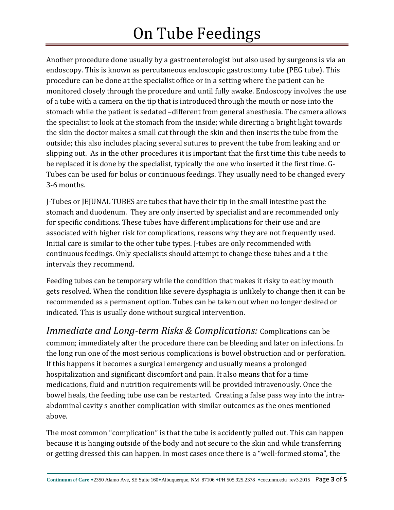Another procedure done usually by a gastroenterologist but also used by surgeons is via an endoscopy. This is known as percutaneous endoscopic gastrostomy tube (PEG tube). This procedure can be done at the specialist office or in a setting where the patient can be monitored closely through the procedure and until fully awake. Endoscopy involves the use of a tube with a camera on the tip that is introduced through the mouth or nose into the stomach while the patient is sedated –different from general anesthesia. The camera allows the specialist to look at the stomach from the inside; while directing a bright light towards the skin the doctor makes a small cut through the skin and then inserts the tube from the outside; this also includes placing several sutures to prevent the tube from leaking and or slipping out. As in the other procedures it is important that the first time this tube needs to be replaced it is done by the specialist, typically the one who inserted it the first time. G-Tubes can be used for bolus or continuous feedings. They usually need to be changed every 3-6 months.

J-Tubes or JEJUNAL TUBES are tubes that have their tip in the small intestine past the stomach and duodenum. They are only inserted by specialist and are recommended only for specific conditions. These tubes have different implications for their use and are associated with higher risk for complications, reasons why they are not frequently used. Initial care is similar to the other tube types. J-tubes are only recommended with continuous feedings. Only specialists should attempt to change these tubes and a t the intervals they recommend.

Feeding tubes can be temporary while the condition that makes it risky to eat by mouth gets resolved. When the condition like severe dysphagia is unlikely to change then it can be recommended as a permanent option. Tubes can be taken out when no longer desired or indicated. This is usually done without surgical intervention.

*Immediate and Long-term Risks & Complications:* Complications can be common; immediately after the procedure there can be bleeding and later on infections. In the long run one of the most serious complications is bowel obstruction and or perforation. If this happens it becomes a surgical emergency and usually means a prolonged hospitalization and significant discomfort and pain. It also means that for a time medications, fluid and nutrition requirements will be provided intravenously. Once the bowel heals, the feeding tube use can be restarted. Creating a false pass way into the intraabdominal cavity s another complication with similar outcomes as the ones mentioned above.

The most common "complication" is that the tube is accidently pulled out. This can happen because it is hanging outside of the body and not secure to the skin and while transferring or getting dressed this can happen. In most cases once there is a "well-formed stoma", the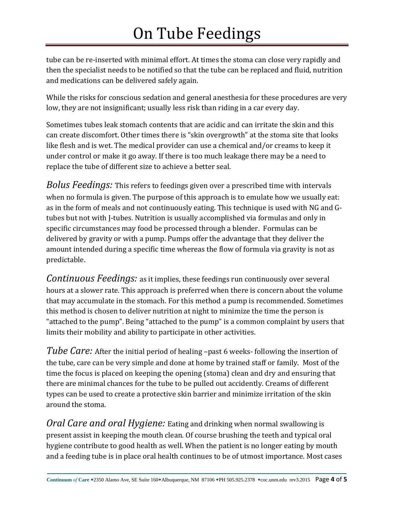tube can be re-inserted with minimal effort. At times the stoma can close very rapidly and then the specialist needs to be notified so that the tube can be replaced and fluid, nutrition and medications can be delivered safely again.

While the risks for conscious sedation and general anesthesia for these procedures are very low, they are not insignificant; usually less risk than riding in a car every day.

Sometimes tubes leak stomach contents that are acidic and can irritate the skin and this can create discomfort. Other times there is "skin overgrowth" at the stoma site that looks like flesh and is wet. The medical provider can use a chemical and/or creams to keep it under control or make it go away. If there is too much leakage there may be a need to replace the tube of different size to achieve a better seal.

*Bolus Feedings:* This refers to feedings given over a prescribed time with intervals when no formula is given. The purpose of this approach is to emulate how we usually eat: as in the form of meals and not continuously eating. This technique is used with NG and Gtubes but not with J-tubes. Nutrition is usually accomplished via formulas and only in specific circumstances may food be processed through a blender. Formulas can be delivered by gravity or with a pump. Pumps offer the advantage that they deliver the amount intended during a specific time whereas the flow of formula via gravity is not as predictable.

*Continuous Feedings:* as it implies, these feedings run continuously over several hours at a slower rate. This approach is preferred when there is concern about the volume that may accumulate in the stomach. For this method a pump is recommended. Sometimes this method is chosen to deliver nutrition at night to minimize the time the person is "attached to the pump". Being "attached to the pump" is a common complaint by users that limits their mobility and ability to participate in other activities.

*Tube Care:* After the initial period of healing –past 6 weeks- following the insertion of the tube, care can be very simple and done at home by trained staff or family. Most of the time the focus is placed on keeping the opening (stoma) clean and dry and ensuring that there are minimal chances for the tube to be pulled out accidently. Creams of different types can be used to create a protective skin barrier and minimize irritation of the skin around the stoma.

*Oral Care and oral Hygiene:* Eating and drinking when normal swallowing is present assist in keeping the mouth clean. Of course brushing the teeth and typical oral hygiene contribute to good health as well. When the patient is no longer eating by mouth and a feeding tube is in place oral health continues to be of utmost importance. Most cases